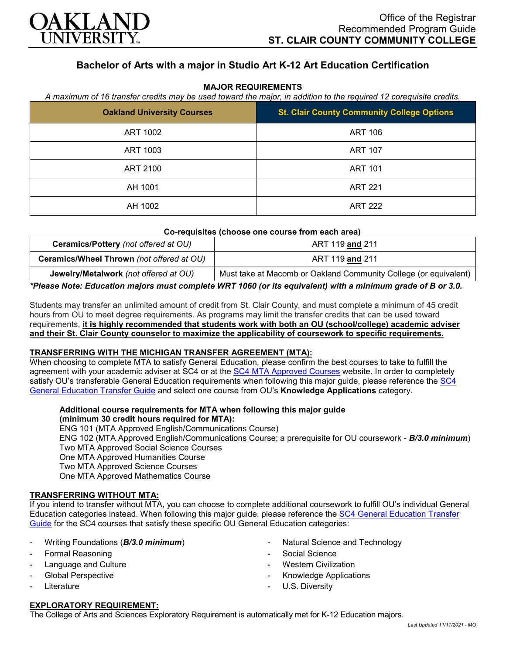

## **Bachelor of Arts with a major in Studio Art K-12 Art Education Certification**

### **MAJOR REQUIREMENTS**

*A maximum of 16 transfer credits may be used toward the major, in addition to the required 12 corequisite credits.*

| <b>Oakland University Courses</b> | <b>St. Clair County Community College Options</b> |
|-----------------------------------|---------------------------------------------------|
| ART 1002                          | <b>ART 106</b>                                    |
| ART 1003                          | <b>ART 107</b>                                    |
| ART 2100                          | <b>ART 101</b>                                    |
| AH 1001                           | <b>ART 221</b>                                    |
| AH 1002                           | <b>ART 222</b>                                    |

#### **Co-requisites (choose one course from each area)**

| <b>Ceramics/Pottery</b> (not offered at OU) | ART 119 and 211                                                  |
|---------------------------------------------|------------------------------------------------------------------|
| Ceramics/Wheel Thrown (not offered at OU)   | ART 119 and 211                                                  |
| Jewelry/Metalwork (not offered at OU)       | Must take at Macomb or Oakland Community College (or equivalent) |

*\*Please Note: Education majors must complete WRT 1060 (or its equivalent) with a minimum grade of B or 3.0.*

Students may transfer an unlimited amount of credit from St. Clair County, and must complete a minimum of 45 credit hours from OU to meet degree requirements. As programs may limit the transfer credits that can be used toward requirements, **it is highly recommended that students work with both an OU (school/college) academic adviser and their St. Clair County counselor to maximize the applicability of coursework to specific requirements.**

### **TRANSFERRING WITH THE MICHIGAN TRANSFER AGREEMENT (MTA):**

When choosing to complete MTA to satisfy General Education, please confirm the best courses to take to fulfill the agreement with your academic adviser at SC4 or at the [SC4 MTA Approved Courses](https://sc4.edu/admissions/transferring-after-sc4/michigan-transfer-agreement/) website. In order to completely satisfy OU's transferable General Education requirements when following this major guide, please reference the [SC4](https://wwwp.oakland.edu/Assets/Oakland/program-guides/st-clair-county-community-college/university-general-education-requirements/SC4%20Gen%20Ed.pdf)  [General Education Transfer Guide](https://wwwp.oakland.edu/Assets/Oakland/program-guides/st-clair-county-community-college/university-general-education-requirements/SC4%20Gen%20Ed.pdf) and select one course from OU's **Knowledge Applications** category.

# **Additional course requirements for MTA when following this major guide**

**(minimum 30 credit hours required for MTA):**

ENG 101 (MTA Approved English/Communications Course)

ENG 102 (MTA Approved English/Communications Course; a prerequisite for OU coursework - *B/3.0 minimum*) Two MTA Approved Social Science Courses

One MTA Approved Humanities Course

Two MTA Approved Science Courses

One MTA Approved Mathematics Course

### **TRANSFERRING WITHOUT MTA:**

If you intend to transfer without MTA, you can choose to complete additional coursework to fulfill OU's individual General Education categories instead. When following this major guide, please reference the [SC4 General Education Transfer](https://wwwp.oakland.edu/Assets/Oakland/program-guides/st-clair-county-community-college/university-general-education-requirements/SC4%20Gen%20Ed.pdf)  [Guide](https://wwwp.oakland.edu/Assets/Oakland/program-guides/st-clair-county-community-college/university-general-education-requirements/SC4%20Gen%20Ed.pdf) for the SC4 courses that satisfy these specific OU General Education categories:

- Writing Foundations (*B/3.0 minimum*)
- Formal Reasoning
- Language and Culture
- Global Perspective
- **Literature**
- Natural Science and Technology
- Social Science
- **Western Civilization**
- Knowledge Applications
- U.S. Diversity

### **EXPLORATORY REQUIREMENT:**

The College of Arts and Sciences Exploratory Requirement is automatically met for K-12 Education majors.